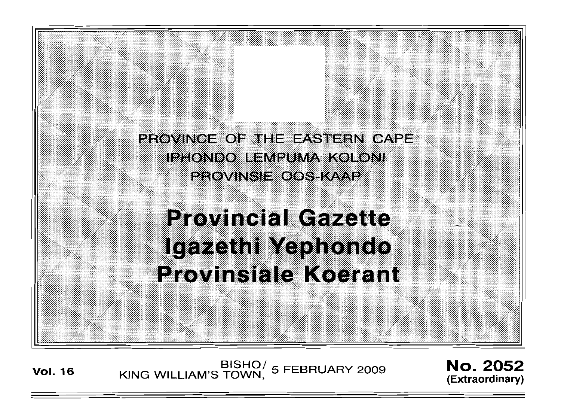PROVINCE OF THE EASTERN CAPE IPHONDO LEMPUMA KOLONI PROVINSI E OOS KAAP

**Provincial Gazette** Igazethi Yephondo Provinsiale Koerant

BISHO<sup>/</sup> 5 FEBRUARY 2009 **No. 2052**<br>Vol. 16 KING WILLIAM'S TOWN, 5 FEBRUARY 2009

**(Extraordinary)**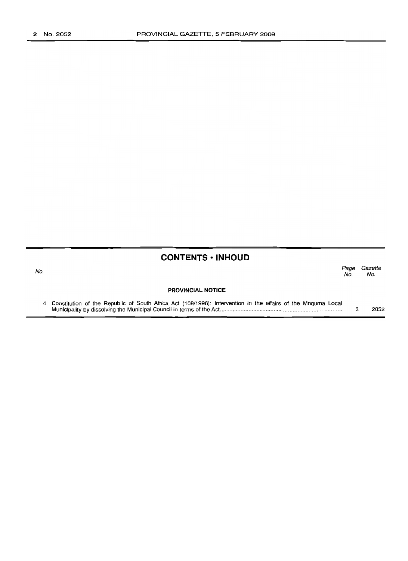| <b>CONTENTS · INHOUD</b> |  |  |  |
|--------------------------|--|--|--|
|--------------------------|--|--|--|

| No. |                                                                                                                | Page<br>No. | Gazette<br>No. |
|-----|----------------------------------------------------------------------------------------------------------------|-------------|----------------|
|     | <b>PROVINCIAL NOTICE</b>                                                                                       |             |                |
|     | 4 Constitution of the Republic of South Africa Act (108/1996): Intervention in the affairs of the Mnguma Local |             | 2052           |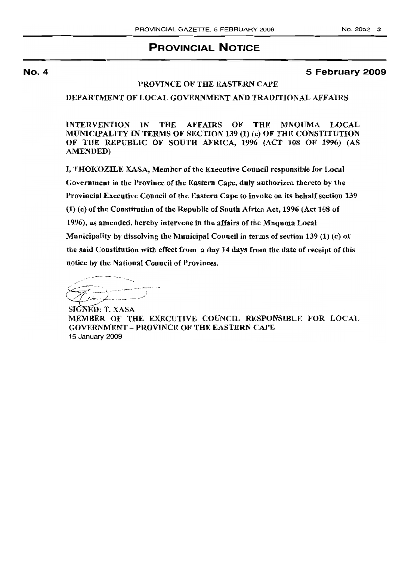# **PROVINCIAL NOTICE**

#### **No.4**

### **5 February 2009**

#### PROVINCE OF THE EASTERN CAPE

DEPARTMENT OF LOCAL GOVERNMENT AND TRADITIONAL AFFAIRS

INTERVENTION IN THE AFFAIRS OF THE MNOUMA LOCAL MUNICIPALITY IN TERMS OF SECTION 139 (1) (c) OF THE CONSTITUTION OF THE REPUBLIC OF SOUTH AFRICA, 1996 (ACT 108 OF 1996) (AS AMENDED)

I, THOKOZILE XASA, Member of the Executive Council responsible for Local Government in the Province of the Eastern Cape, duly authorized thereto by the Provincial Executive Council of the Eastern Cape to invoke on its behalf section 139 (1) (c) of the Constitution of the Republic of South Afrtea Act, 1996 (Act 108 of 1996), as amended, hereby intervene in the affairs of the Mnquma Local Municipality by dissolving the Municipal Council in terms of section 139 (1) (c) of the said Constitution with effect from a day 14 days from the date of receipt of this notice by the National Council of Provinces.

رمايشترمي

SIGNED: T. XASA MEMBER OF THE EXECUTIVE COUNCIL RESPONSIBLE FOR LOCAL **GOVERNMENT - PROVINCE OF THE EASTERN CAPE** 15 January 2009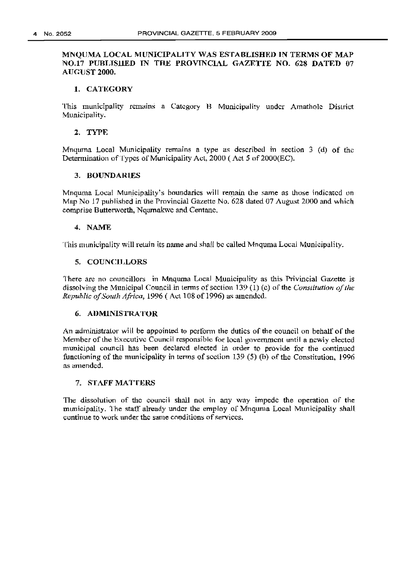### MNOUMA LOCAL MUNICIPALITY WAS ESTABLISHED IN TERMS OF MAP NO.17 PUBLJSllED IN THE PROVINCIAL GAZRTTE NO. 628 DATEn 07 AUGlJST 2000.

#### 1. CATEGORY

This municipality remains a Category B Municipality under Arnatholc District Municipality.

#### 2. TYPE

Mnquma Local Municipality remains a type as described in section 3 (d) of the Determination of Types of Municipality Act, 2000 (Act 5 of 2000(EC).

#### 3. BOUNDARIES

Mnquma Local Municipality's boundaries will remain the same as those indicated on Map No 17 published in the Provincial Gazette No. 628 dated 07 August 2000 and which comprise Butterworth, Nqamakwc and Centane,

#### 4. NAME

This municipality will retain its name and shall be called Mnquma Local Municipality.

#### 5. COUNCll,LORS

There are no councillors in Mnquma Local Municipality as this Privincial Gazette is dissolving the Municipal Council in terms of section 139 (1) (c) of the *Constitution of the Republic of South Africa,* 1996 (Act 108 of 1996) as amended.

#### 6. ADMINISTRATOR

An administrator will be appointed to perform the duties of the council on behalf or the Member of the Executive Council responsible for local government until a newly elected municipal council has been declared elected in order to provide for the continued functioning of the municipality in terms of section 139 (5) (b) of the Constitution, 1996 as amended.

#### 7. STAFF MATTERS

The dissolution of the council shall not in any way impede the operation of the municipality. The staff already under the employ of Mnquma Local Municipality shall continue to work under the same conditions of services.